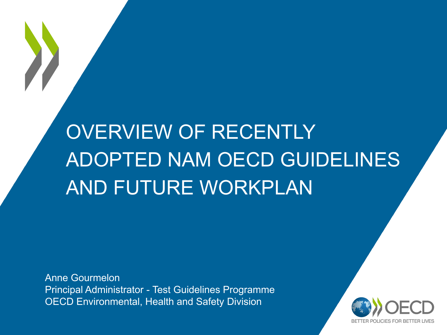# OVERVIEW OF RECENTLY ADOPTED NAM OECD GUIDELINES AND FUTURE WORKPLAN

Anne Gourmelon Principal Administrator - Test Guidelines Programme OECD Environmental, Health and Safety Division

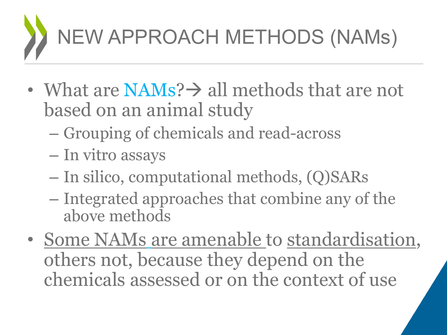

- What are  $NAMS? \rightarrow all$  methods that are not based on an animal study
	- Grouping of chemicals and read-across
	- In vitro assays
	- In silico, computational methods, (Q)SARs
	- Integrated approaches that combine any of the above methods
- Some NAMs are amenable to standardisation, others not, because they depend on the chemicals assessed or on the context of use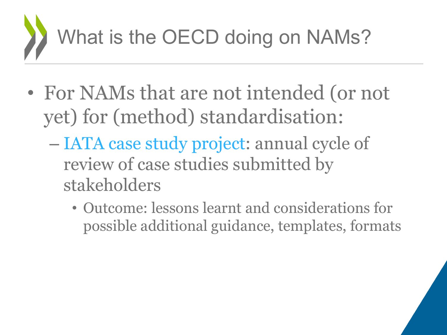

- For NAMs that are not intended (or not yet) for (method) standardisation:
	- IATA case study project: annual cycle of review of case studies submitted by stakeholders
		- Outcome: lessons learnt and considerations for possible additional guidance, templates, formats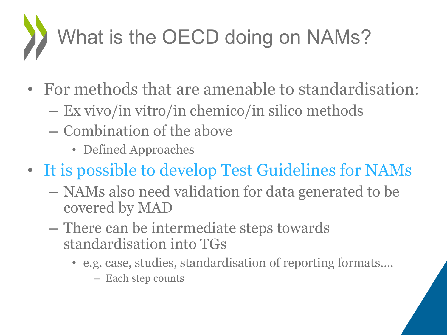

- For methods that are amenable to standardisation:
	- Ex vivo/in vitro/in chemico/in silico methods
	- Combination of the above
		- Defined Approaches
- It is possible to develop Test Guidelines for NAMs
	- NAMs also need validation for data generated to be covered by MAD
	- There can be intermediate steps towards standardisation into TGs
		- e.g. case, studies, standardisation of reporting formats….
			- Each step counts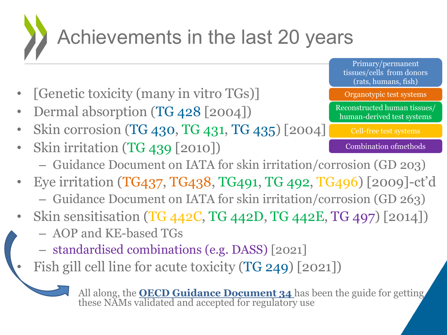

- [Genetic toxicity (many in vitro TGs)]
- Dermal absorption (TG 428 [2004])
- Skin corrosion (TG 430, TG 431, TG 435) [2004]
- Skin irritation (TG 439 [2010])
	- Guidance Document on IATA for skin irritation/corrosion (GD 203)
- Eye irritation (TG437, TG438, TG491, TG 492, TG496) [2009]-ct'd – Guidance Document on IATA for skin irritation/corrosion (GD 263)
- Skin sensitisation (TG 442C, TG 442D, TG 442E, TG 497) [2014])
	- AOP and KE-based TGs
	- standardised combinations (e.g. DASS) [2021]
	- Fish gill cell line for acute toxicity (TG 249) [2021])

All along, the **OECD Guidance Document 34** has been the guide for getting these NAMs validated and accepted for regulatory use

Primary/permanent tissues/cells from donors (rats, humans, fish)

Organotypic test systems

Reconstructed human tissues/ human-derived test systems

Cell-free test systems

Combination ofmethods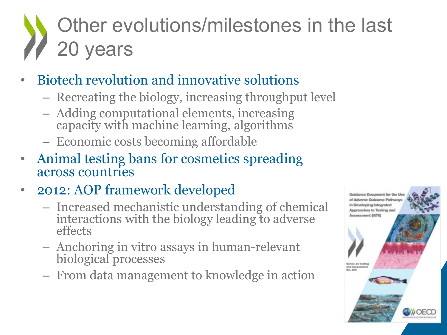# Other evolutions/milestones in the last 20 years

- Biotech revolution and innovative solutions
	- Recreating the biology, increasing throughput level
	- Adding computational elements, increasing capacity with machine learning, algorithms
	- Economic costs becoming affordable
- Animal testing bans for cosmetics spreading across countries
- 2012: AOP framework developed
	- Increased mechanistic understanding of chemical interactions with the biology leading to adverse effects
	- Anchoring in vitro assays in human-relevant biological processes
	- From data management to knowledge in action

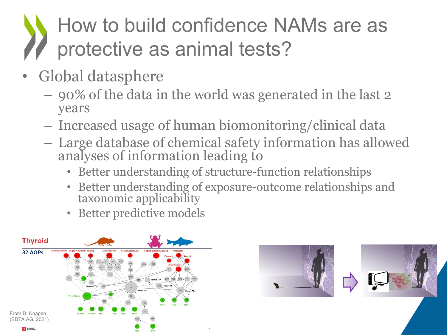### How to build confidence NAMs are as protective as animal tests?

- Global datasphere
	- 90% of the data in the world was generated in the last 2 years
	- Increased usage of human biomonitoring/clinical data
	- Large database of chemical safety information has allowed analyses of information leading to
		- Better understanding of structure-function relationships
		- Better understanding of exposure-outcome relationships and taxonomic applicability
		- Better predictive models



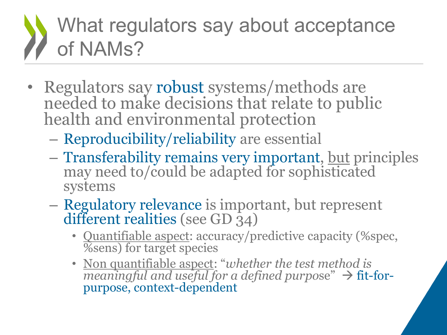## What regulators say about acceptance of NAMs?

- Regulators say robust systems/methods are needed to make decisions that relate to public health and environmental protection
	- Reproducibility/reliability are essential
	- Transferability remains very important, but principles may need to/could be adapted for sophisticated systems
	- Regulatory relevance is important, but represent different realities (see GD 34)
		- Quantifiable aspect: accuracy/predictive capacity (%spec, %sens) for target species
		- Non quantifiable aspect: "*whether the test method is meaningful and useful for a defined purpo*se"  $\rightarrow$  fit-for-<br>purpose, context-dependent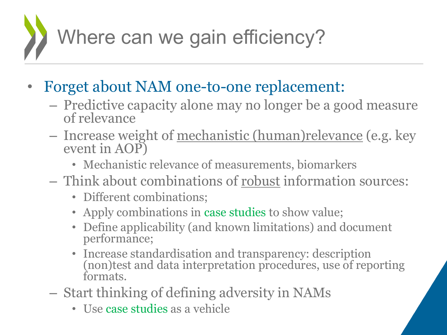

- Forget about NAM one-to-one replacement:
	- Predictive capacity alone may no longer be a good measure of relevance
	- Increase weight of mechanistic (human)relevance (e.g. key event in AOP)
		- Mechanistic relevance of measurements, biomarkers
	- Think about combinations of robust information sources:
		- Different combinations;
		- Apply combinations in case studies to show value;
		- Define applicability (and known limitations) and document performance;
		- Increase standardisation and transparency: description (non)test and data interpretation procedures, use of reporting formats.
	- Start thinking of defining adversity in NAMs
		- Use case studies as a vehicle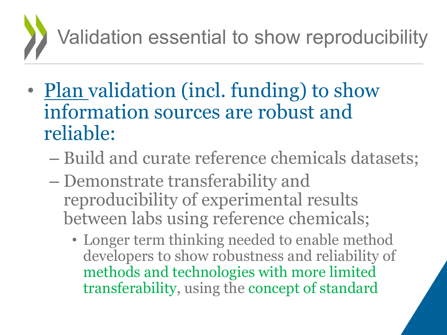

- Plan validation (incl. funding) to show information sources are robust and reliable:
	- Build and curate reference chemicals datasets;
	- Demonstrate transferability and reproducibility of experimental results between labs using reference chemicals;
		- Longer term thinking needed to enable method developers to show robustness and reliability of methods and technologies with more limited transferability, using the concept of standard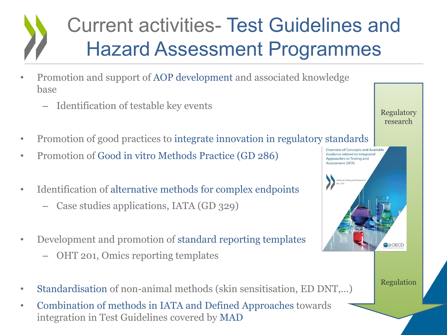## Current activities- Test Guidelines and Hazard Assessment Programmes

- Promotion and support of AOP development and associated knowledge base
	- Identification of testable key events
- Promotion of good practices to integrate innovation in regulatory standards
- Promotion of Good in vitro Methods Practice (GD 286)
- Identification of alternative methods for complex endpoints
	- Case studies applications, IATA (GD 329)
- Development and promotion of standard reporting templates
	- OHT 201, Omics reporting templates
- Standardisation of non-animal methods (skin sensitisation, ED DNT,...)
- Combination of methods in IATA and Defined Approaches towards integration in Test Guidelines covered by MAD



Regulation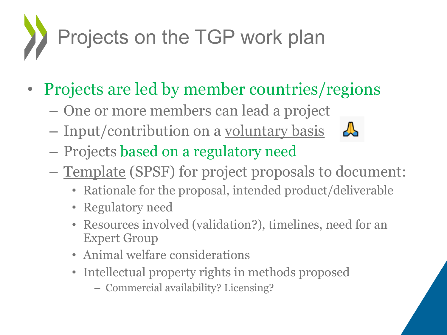

- Projects are led by member countries/regions
	- One or more members can lead a project
	- Input/contribution on a voluntary basis



- Projects based on a regulatory need
- Template (SPSF) for project proposals to document:
	- Rationale for the proposal, intended product/deliverable
	- Regulatory need
	- Resources involved (validation?), timelines, need for an Expert Group
	- Animal welfare considerations
	- Intellectual property rights in methods proposed
		- Commercial availability? Licensing?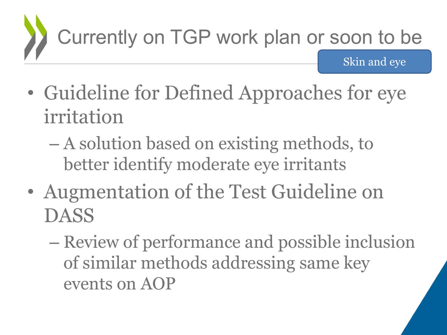

- Guideline for Defined Approaches for eye irritation
	- A solution based on existing methods, to better identify moderate eye irritants
- Augmentation of the Test Guideline on DASS
	- Review of performance and possible inclusion of similar methods addressing same key events on AOP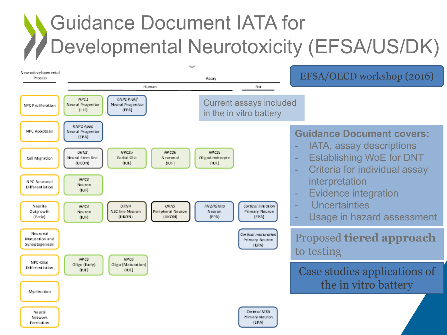## Guidance Document IATA for Developmental Neurotoxicity (EFSA/US/DK)

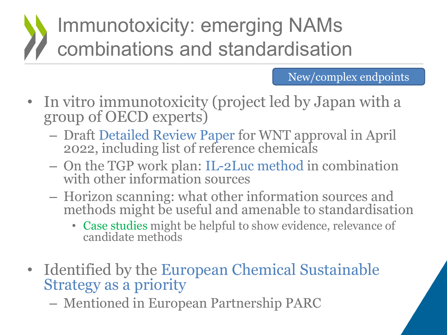## Immunotoxicity: emerging NAMs combinations and standardisation

### New/complex endpoints

- In vitro immunotoxicity (project led by Japan with a group of OECD experts)
	- Draft Detailed Review Paper for WNT approval in April 2022, including list of reference chemicals
	- On the TGP work plan: IL-2Luc method in combination with other information sources
	- Horizon scanning: what other information sources and methods might be useful and amenable to standardisation
		- Case studies might be helpful to show evidence, relevance of candidate methods
- Identified by the European Chemical Sustainable Strategy as a priority
	- Mentioned in European Partnership PARC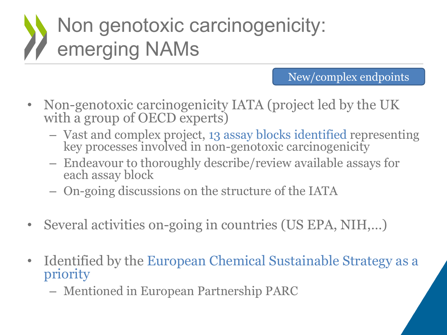# Non genotoxic carcinogenicity: emerging NAMs

#### New/complex endpoints

- Non-genotoxic carcinogenicity IATA (project led by the UK with a group of OECD experts)
	- Vast and complex project, 13 assay blocks identified representing key processes involved in non-genotoxic carcinogenicity
	- Endeavour to thoroughly describe/review available assays for each assay block
	- On-going discussions on the structure of the IATA
- Several activities on-going in countries (US EPA, NIH,...)
- Identified by the European Chemical Sustainable Strategy as a priority
	- Mentioned in European Partnership PARC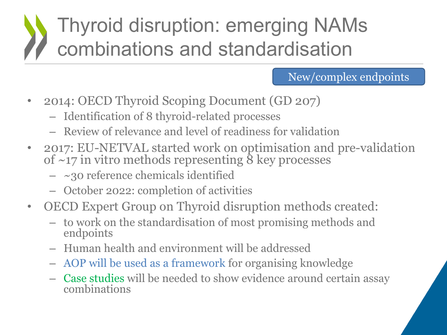## Thyroid disruption: emerging NAMs combinations and standardisation

### New/complex endpoints

- 2014: OECD Thyroid Scoping Document (GD 207)
	- Identification of 8 thyroid-related processes
	- Review of relevance and level of readiness for validation
- 2017: EU-NETVAL started work on optimisation and pre-validation of  $\sim$ 17 in vitro methods representing  $\delta$  key processes
	- $-$  ~30 reference chemicals identified
	- October 2022: completion of activities
- OECD Expert Group on Thyroid disruption methods created:
	- to work on the standardisation of most promising methods and endpoints
	- Human health and environment will be addressed
	- AOP will be used as a framework for organising knowledge
	- Case studies will be needed to show evidence around certain assay combinations